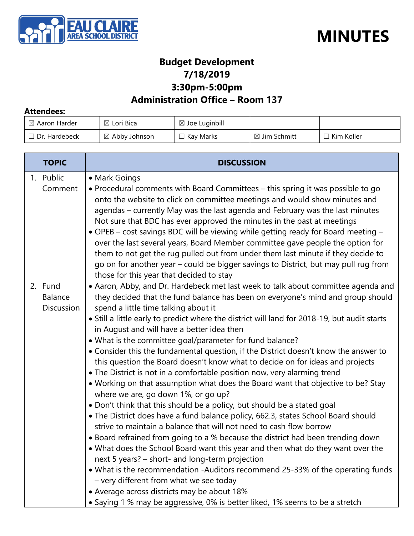



#### **Budget Development 7/18/2019 3:30pm-5:00pm**

#### **Administration Office – Room 137**

#### **Attendees:**

| $\boxtimes$ Aaron Harder | $\boxtimes$ Lori Bica    | $\boxtimes$ Joe Luginbill |                         |              |
|--------------------------|--------------------------|---------------------------|-------------------------|--------------|
| $\Box$ Dr. Hardebeck     | $\boxtimes$ Abby Johnson | Kay Marks                 | $\boxtimes$ Jim Schmitt | l Kim Koller |

| <b>TOPIC</b>                                   | <b>DISCUSSION</b>                                                                                                                                                                                                                                                                                                                                                                                                                                                                                                                                                                                                                                                                                                                                                                                                                                                                                                                                                                                                                                                                                                                                                                                                                                                                                                                                                                                                                                                                                                                  |
|------------------------------------------------|------------------------------------------------------------------------------------------------------------------------------------------------------------------------------------------------------------------------------------------------------------------------------------------------------------------------------------------------------------------------------------------------------------------------------------------------------------------------------------------------------------------------------------------------------------------------------------------------------------------------------------------------------------------------------------------------------------------------------------------------------------------------------------------------------------------------------------------------------------------------------------------------------------------------------------------------------------------------------------------------------------------------------------------------------------------------------------------------------------------------------------------------------------------------------------------------------------------------------------------------------------------------------------------------------------------------------------------------------------------------------------------------------------------------------------------------------------------------------------------------------------------------------------|
| 1. Public<br>Comment                           | • Mark Goings<br>• Procedural comments with Board Committees – this spring it was possible to go<br>onto the website to click on committee meetings and would show minutes and<br>agendas - currently May was the last agenda and February was the last minutes<br>Not sure that BDC has ever approved the minutes in the past at meetings<br>• OPEB - cost savings BDC will be viewing while getting ready for Board meeting -<br>over the last several years, Board Member committee gave people the option for<br>them to not get the rug pulled out from under them last minute if they decide to<br>go on for another year – could be bigger savings to District, but may pull rug from<br>those for this year that decided to stay                                                                                                                                                                                                                                                                                                                                                                                                                                                                                                                                                                                                                                                                                                                                                                                           |
| 2. Fund<br><b>Balance</b><br><b>Discussion</b> | • Aaron, Abby, and Dr. Hardebeck met last week to talk about committee agenda and<br>they decided that the fund balance has been on everyone's mind and group should<br>spend a little time talking about it<br>• Still a little early to predict where the district will land for 2018-19, but audit starts<br>in August and will have a better idea then<br>• What is the committee goal/parameter for fund balance?<br>• Consider this the fundamental question, if the District doesn't know the answer to<br>this question the Board doesn't know what to decide on for ideas and projects<br>• The District is not in a comfortable position now, very alarming trend<br>• Working on that assumption what does the Board want that objective to be? Stay<br>where we are, go down 1%, or go up?<br>. Don't think that this should be a policy, but should be a stated goal<br>• The District does have a fund balance policy, 662.3, states School Board should<br>strive to maintain a balance that will not need to cash flow borrow<br>• Board refrained from going to a % because the district had been trending down<br>• What does the School Board want this year and then what do they want over the<br>next 5 years? - short- and long-term projection<br>• What is the recommendation -Auditors recommend 25-33% of the operating funds<br>- very different from what we see today<br>• Average across districts may be about 18%<br>• Saying 1 % may be aggressive, 0% is better liked, 1% seems to be a stretch |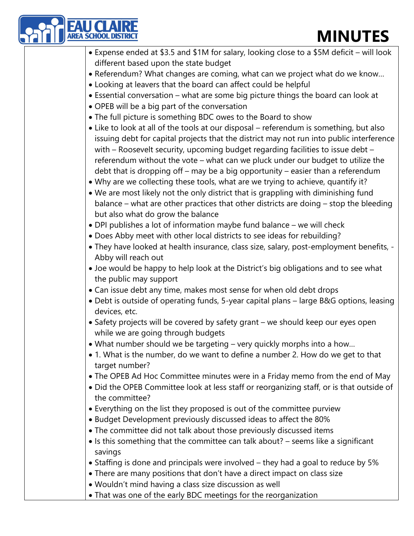| <b>EAU CL</b><br>AREA SCHOOL<br><b>MINUTES</b>                                                                                                                                                                                                                                                                                                                                                                                              |
|---------------------------------------------------------------------------------------------------------------------------------------------------------------------------------------------------------------------------------------------------------------------------------------------------------------------------------------------------------------------------------------------------------------------------------------------|
| • Expense ended at \$3.5 and \$1M for salary, looking close to a \$5M deficit - will look                                                                                                                                                                                                                                                                                                                                                   |
| different based upon the state budget                                                                                                                                                                                                                                                                                                                                                                                                       |
| • Referendum? What changes are coming, what can we project what do we know                                                                                                                                                                                                                                                                                                                                                                  |
| • Looking at leavers that the board can affect could be helpful                                                                                                                                                                                                                                                                                                                                                                             |
| • Essential conversation – what are some big picture things the board can look at                                                                                                                                                                                                                                                                                                                                                           |
| • OPEB will be a big part of the conversation                                                                                                                                                                                                                                                                                                                                                                                               |
| • The full picture is something BDC owes to the Board to show                                                                                                                                                                                                                                                                                                                                                                               |
| • Like to look at all of the tools at our disposal – referendum is something, but also<br>issuing debt for capital projects that the district may not run into public interference<br>with - Roosevelt security, upcoming budget regarding facilities to issue debt -<br>referendum without the vote - what can we pluck under our budget to utilize the<br>debt that is dropping off - may be a big opportunity - easier than a referendum |
| • Why are we collecting these tools, what are we trying to achieve, quantify it?                                                                                                                                                                                                                                                                                                                                                            |
| . We are most likely not the only district that is grappling with diminishing fund                                                                                                                                                                                                                                                                                                                                                          |
| balance – what are other practices that other districts are doing – stop the bleeding<br>but also what do grow the balance                                                                                                                                                                                                                                                                                                                  |
| • DPI publishes a lot of information maybe fund balance - we will check                                                                                                                                                                                                                                                                                                                                                                     |
| . Does Abby meet with other local districts to see ideas for rebuilding?                                                                                                                                                                                                                                                                                                                                                                    |
| • They have looked at health insurance, class size, salary, post-employment benefits, -                                                                                                                                                                                                                                                                                                                                                     |
| Abby will reach out                                                                                                                                                                                                                                                                                                                                                                                                                         |
| • Joe would be happy to help look at the District's big obligations and to see what<br>the public may support                                                                                                                                                                                                                                                                                                                               |
| • Can issue debt any time, makes most sense for when old debt drops                                                                                                                                                                                                                                                                                                                                                                         |
| • Debt is outside of operating funds, 5-year capital plans – large B&G options, leasing<br>devices, etc.                                                                                                                                                                                                                                                                                                                                    |
| • Safety projects will be covered by safety grant – we should keep our eyes open<br>while we are going through budgets                                                                                                                                                                                                                                                                                                                      |
| • What number should we be targeting – very quickly morphs into a how                                                                                                                                                                                                                                                                                                                                                                       |
| • 1. What is the number, do we want to define a number 2. How do we get to that<br>target number?                                                                                                                                                                                                                                                                                                                                           |
| • The OPEB Ad Hoc Committee minutes were in a Friday memo from the end of May                                                                                                                                                                                                                                                                                                                                                               |
| • Did the OPEB Committee look at less staff or reorganizing staff, or is that outside of                                                                                                                                                                                                                                                                                                                                                    |
| the committee?                                                                                                                                                                                                                                                                                                                                                                                                                              |
| • Everything on the list they proposed is out of the committee purview                                                                                                                                                                                                                                                                                                                                                                      |
| • Budget Development previously discussed ideas to affect the 80%                                                                                                                                                                                                                                                                                                                                                                           |
| . The committee did not talk about those previously discussed items                                                                                                                                                                                                                                                                                                                                                                         |
| • Is this something that the committee can talk about? - seems like a significant<br>savings                                                                                                                                                                                                                                                                                                                                                |
| • Staffing is done and principals were involved – they had a goal to reduce by 5%                                                                                                                                                                                                                                                                                                                                                           |
| • There are many positions that don't have a direct impact on class size                                                                                                                                                                                                                                                                                                                                                                    |
| • Wouldn't mind having a class size discussion as well                                                                                                                                                                                                                                                                                                                                                                                      |
| • That was one of the early BDC meetings for the reorganization                                                                                                                                                                                                                                                                                                                                                                             |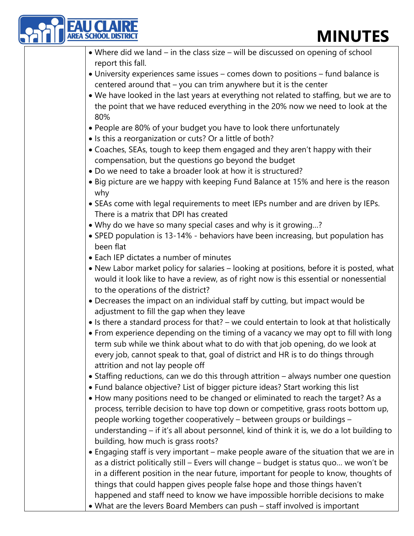| <b>EAU CLAIRE</b><br>AREA SCHOOL DISTRIC<br><b>MINUTES</b>                                                                                                                                                                                                                                                                                                                                                                              |
|-----------------------------------------------------------------------------------------------------------------------------------------------------------------------------------------------------------------------------------------------------------------------------------------------------------------------------------------------------------------------------------------------------------------------------------------|
| • Where did we land – in the class size – will be discussed on opening of school                                                                                                                                                                                                                                                                                                                                                        |
| report this fall.                                                                                                                                                                                                                                                                                                                                                                                                                       |
| • University experiences same issues – comes down to positions – fund balance is                                                                                                                                                                                                                                                                                                                                                        |
| centered around that - you can trim anywhere but it is the center                                                                                                                                                                                                                                                                                                                                                                       |
| . We have looked in the last years at everything not related to staffing, but we are to<br>the point that we have reduced everything in the 20% now we need to look at the<br>80%                                                                                                                                                                                                                                                       |
| • People are 80% of your budget you have to look there unfortunately<br>• Is this a reorganization or cuts? Or a little of both?                                                                                                                                                                                                                                                                                                        |
| • Coaches, SEAs, tough to keep them engaged and they aren't happy with their<br>compensation, but the questions go beyond the budget                                                                                                                                                                                                                                                                                                    |
| • Do we need to take a broader look at how it is structured?                                                                                                                                                                                                                                                                                                                                                                            |
| • Big picture are we happy with keeping Fund Balance at 15% and here is the reason<br>why                                                                                                                                                                                                                                                                                                                                               |
| • SEAs come with legal requirements to meet IEPs number and are driven by IEPs.<br>There is a matrix that DPI has created                                                                                                                                                                                                                                                                                                               |
| • Why do we have so many special cases and why is it growing?                                                                                                                                                                                                                                                                                                                                                                           |
| • SPED population is 13-14% - behaviors have been increasing, but population has<br>been flat                                                                                                                                                                                                                                                                                                                                           |
| • Each IEP dictates a number of minutes                                                                                                                                                                                                                                                                                                                                                                                                 |
| • New Labor market policy for salaries - looking at positions, before it is posted, what<br>would it look like to have a review, as of right now is this essential or nonessential<br>to the operations of the district?                                                                                                                                                                                                                |
| • Decreases the impact on an individual staff by cutting, but impact would be<br>adjustment to fill the gap when they leave                                                                                                                                                                                                                                                                                                             |
| • Is there a standard process for that? – we could entertain to look at that holistically                                                                                                                                                                                                                                                                                                                                               |
| • From experience depending on the timing of a vacancy we may opt to fill with long<br>term sub while we think about what to do with that job opening, do we look at<br>every job, cannot speak to that, goal of district and HR is to do things through<br>attrition and not lay people off                                                                                                                                            |
| • Staffing reductions, can we do this through attrition - always number one question<br>• Fund balance objective? List of bigger picture ideas? Start working this list                                                                                                                                                                                                                                                                 |
| • How many positions need to be changed or eliminated to reach the target? As a<br>process, terrible decision to have top down or competitive, grass roots bottom up,<br>people working together cooperatively - between groups or buildings -<br>understanding – if it's all about personnel, kind of think it is, we do a lot building to<br>building, how much is grass roots?                                                       |
| • Engaging staff is very important - make people aware of the situation that we are in<br>as a district politically still - Evers will change - budget is status quo we won't be<br>in a different position in the near future, important for people to know, thoughts of<br>things that could happen gives people false hope and those things haven't<br>happened and staff need to know we have impossible horrible decisions to make |
| • What are the levers Board Members can push - staff involved is important                                                                                                                                                                                                                                                                                                                                                              |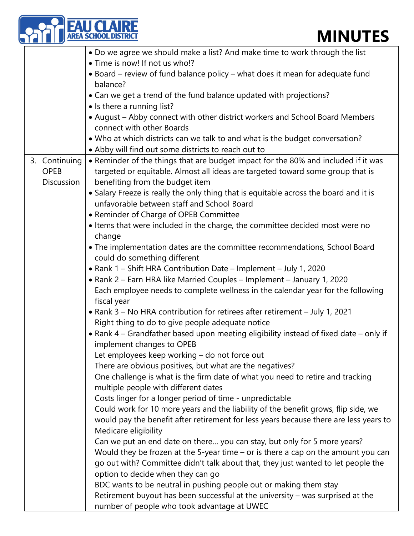|                   | <b>LAU CLAIRE</b><br>REA SCHOOL DISTRICT<br><b>MINUTES</b>                                     |
|-------------------|------------------------------------------------------------------------------------------------|
|                   | • Do we agree we should make a list? And make time to work through the list                    |
|                   | • Time is now! If not us who!?                                                                 |
|                   | • Board – review of fund balance policy – what does it mean for adequate fund                  |
|                   | balance?                                                                                       |
|                   | • Can we get a trend of the fund balance updated with projections?                             |
|                   | • Is there a running list?                                                                     |
|                   | • August - Abby connect with other district workers and School Board Members                   |
|                   | connect with other Boards                                                                      |
|                   | . Who at which districts can we talk to and what is the budget conversation?                   |
|                   | • Abby will find out some districts to reach out to                                            |
| 3. Continuing     | • Reminder of the things that are budget impact for the 80% and included if it was             |
| <b>OPEB</b>       | targeted or equitable. Almost all ideas are targeted toward some group that is                 |
| <b>Discussion</b> | benefiting from the budget item                                                                |
|                   | • Salary Freeze is really the only thing that is equitable across the board and it is          |
|                   | unfavorable between staff and School Board                                                     |
|                   | • Reminder of Charge of OPEB Committee                                                         |
|                   | • Items that were included in the charge, the committee decided most were no                   |
|                   | change                                                                                         |
|                   | • The implementation dates are the committee recommendations, School Board                     |
|                   | could do something different                                                                   |
|                   | • Rank 1 - Shift HRA Contribution Date - Implement - July 1, 2020                              |
|                   | • Rank 2 - Earn HRA like Married Couples - Implement - January 1, 2020                         |
|                   | Each employee needs to complete wellness in the calendar year for the following<br>fiscal year |
|                   | • Rank 3 – No HRA contribution for retirees after retirement – July 1, 2021                    |
|                   | Right thing to do to give people adequate notice                                               |
|                   | • Rank 4 – Grandfather based upon meeting eligibility instead of fixed date – only if          |
|                   | implement changes to OPEB                                                                      |
|                   | Let employees keep working - do not force out                                                  |
|                   | There are obvious positives, but what are the negatives?                                       |
|                   | One challenge is what is the firm date of what you need to retire and tracking                 |
|                   | multiple people with different dates                                                           |
|                   | Costs linger for a longer period of time - unpredictable                                       |
|                   | Could work for 10 more years and the liability of the benefit grows, flip side, we             |
|                   | would pay the benefit after retirement for less years because there are less years to          |
|                   | Medicare eligibility                                                                           |
|                   | Can we put an end date on there you can stay, but only for 5 more years?                       |
|                   | Would they be frozen at the 5-year time - or is there a cap on the amount you can              |
|                   | go out with? Committee didn't talk about that, they just wanted to let people the              |
|                   | option to decide when they can go                                                              |
|                   | BDC wants to be neutral in pushing people out or making them stay                              |
|                   | Retirement buyout has been successful at the university - was surprised at the                 |
|                   | number of people who took advantage at UWEC                                                    |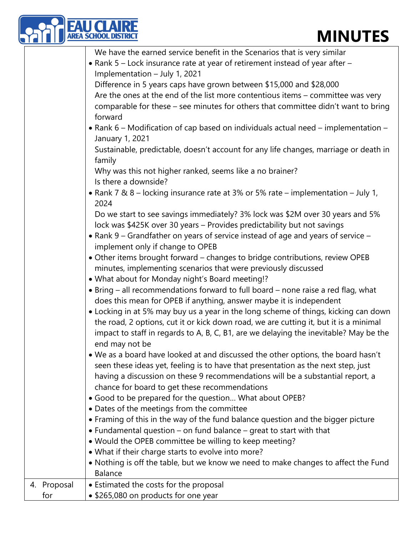|                    | <b>MINUTES</b>                                                                                                                                                                                                                                                                                                                                                                                                                                                                                                                                                                                                                                                                                                                                                                                                                                                                                                                                                                                                                                                                                                                                                                                                                                                                                                                                                                                                                                                                                                                                                                                                                                                                                                                                                                                                                                                                                                                                                                                                                                                                                                                                                                                                                                                                                                                                                                                                                            |
|--------------------|-------------------------------------------------------------------------------------------------------------------------------------------------------------------------------------------------------------------------------------------------------------------------------------------------------------------------------------------------------------------------------------------------------------------------------------------------------------------------------------------------------------------------------------------------------------------------------------------------------------------------------------------------------------------------------------------------------------------------------------------------------------------------------------------------------------------------------------------------------------------------------------------------------------------------------------------------------------------------------------------------------------------------------------------------------------------------------------------------------------------------------------------------------------------------------------------------------------------------------------------------------------------------------------------------------------------------------------------------------------------------------------------------------------------------------------------------------------------------------------------------------------------------------------------------------------------------------------------------------------------------------------------------------------------------------------------------------------------------------------------------------------------------------------------------------------------------------------------------------------------------------------------------------------------------------------------------------------------------------------------------------------------------------------------------------------------------------------------------------------------------------------------------------------------------------------------------------------------------------------------------------------------------------------------------------------------------------------------------------------------------------------------------------------------------------------------|
|                    | We have the earned service benefit in the Scenarios that is very similar<br>• Rank 5 - Lock insurance rate at year of retirement instead of year after -<br>Implementation - July 1, 2021<br>Difference in 5 years caps have grown between \$15,000 and \$28,000<br>Are the ones at the end of the list more contentious items - committee was very<br>comparable for these - see minutes for others that committee didn't want to bring<br>forward<br>• Rank 6 – Modification of cap based on individuals actual need – implementation –<br>January 1, 2021<br>Sustainable, predictable, doesn't account for any life changes, marriage or death in<br>family<br>Why was this not higher ranked, seems like a no brainer?<br>Is there a downside?<br>• Rank 7 & 8 - locking insurance rate at 3% or 5% rate - implementation - July 1,<br>2024<br>Do we start to see savings immediately? 3% lock was \$2M over 30 years and 5%<br>lock was \$425K over 30 years - Provides predictability but not savings<br>• Rank 9 – Grandfather on years of service instead of age and years of service –<br>implement only if change to OPEB<br>• Other items brought forward - changes to bridge contributions, review OPEB<br>minutes, implementing scenarios that were previously discussed<br>• What about for Monday night's Board meeting!?<br>• Bring – all recommendations forward to full board – none raise a red flag, what<br>does this mean for OPEB if anything, answer maybe it is independent<br>• Locking in at 5% may buy us a year in the long scheme of things, kicking can down<br>the road, 2 options, cut it or kick down road, we are cutting it, but it is a minimal<br>impact to staff in regards to A, B, C, B1, are we delaying the inevitable? May be the<br>end may not be<br>. We as a board have looked at and discussed the other options, the board hasn't<br>seen these ideas yet, feeling is to have that presentation as the next step, just<br>having a discussion on these 9 recommendations will be a substantial report, a<br>chance for board to get these recommendations<br>· Good to be prepared for the question What about OPEB?<br>• Dates of the meetings from the committee<br>• Framing of this in the way of the fund balance question and the bigger picture<br>• Fundamental question – on fund balance – great to start with that<br>. Would the OPEB committee be willing to keep meeting? |
|                    | . What if their charge starts to evolve into more?<br>• Nothing is off the table, but we know we need to make changes to affect the Fund<br><b>Balance</b>                                                                                                                                                                                                                                                                                                                                                                                                                                                                                                                                                                                                                                                                                                                                                                                                                                                                                                                                                                                                                                                                                                                                                                                                                                                                                                                                                                                                                                                                                                                                                                                                                                                                                                                                                                                                                                                                                                                                                                                                                                                                                                                                                                                                                                                                                |
| 4. Proposal<br>for | • Estimated the costs for the proposal<br>• \$265,080 on products for one year                                                                                                                                                                                                                                                                                                                                                                                                                                                                                                                                                                                                                                                                                                                                                                                                                                                                                                                                                                                                                                                                                                                                                                                                                                                                                                                                                                                                                                                                                                                                                                                                                                                                                                                                                                                                                                                                                                                                                                                                                                                                                                                                                                                                                                                                                                                                                            |
|                    |                                                                                                                                                                                                                                                                                                                                                                                                                                                                                                                                                                                                                                                                                                                                                                                                                                                                                                                                                                                                                                                                                                                                                                                                                                                                                                                                                                                                                                                                                                                                                                                                                                                                                                                                                                                                                                                                                                                                                                                                                                                                                                                                                                                                                                                                                                                                                                                                                                           |